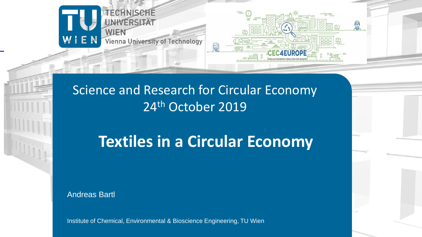

#### Science and Research for Circular Economy 24<sup>th</sup> October 2019

# **Textiles in a Circular Economy**

Andreas Bartl

Institute of Chemical, Environmental & Bioscience Engineering, TU Wien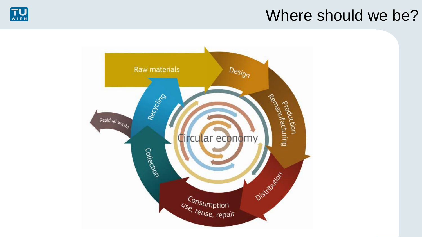#### Where should we be?



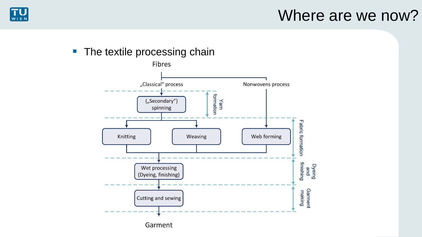

#### Where are we now?

#### **• The textile processing chain**



Garment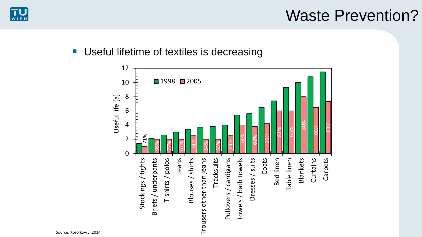

### Waste Prevention?

■ Useful lifetime of textiles is decreasing

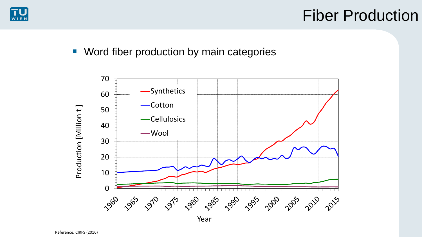

### Fiber Production

■ Word fiber production by main categories

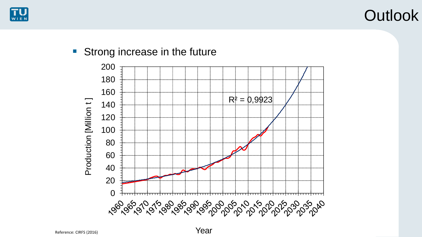







Year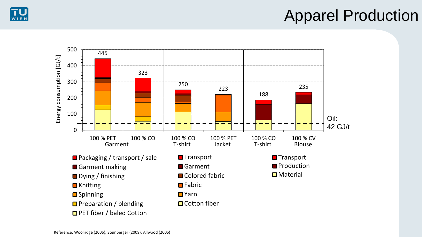



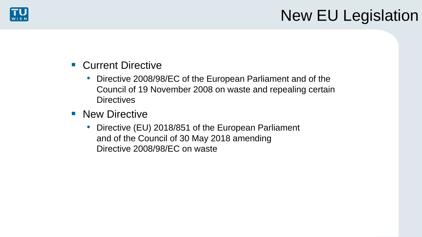

## New EU Legislation

- Current Directive
	- Directive 2008/98/EC of the European Parliament and of the Council of 19 November 2008 on waste and repealing certain **Directives**
- New Directive
	- Directive (EU) 2018/851 of the European Parliament and of the Council of 30 May 2018 amending Directive 2008/98/EC on waste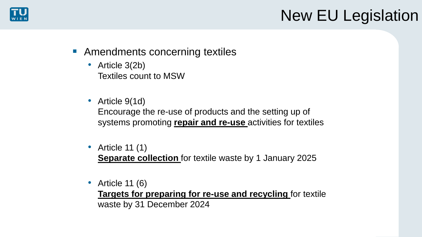

## New EU Legislation

- Amendments concerning textiles
	- Article 3(2b) Textiles count to MSW
	- Article 9(1d) Encourage the re-use of products and the setting up of systems promoting **repair and re-use** activities for textiles
	- Article 11 (1)

**Separate collection** for textile waste by 1 January 2025

• Article 11 (6)

**Targets for preparing for re-use and recycling** for textile waste by 31 December 2024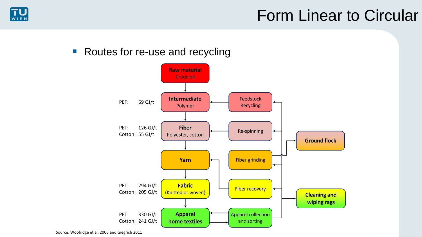

■ Routes for re-use and recycling

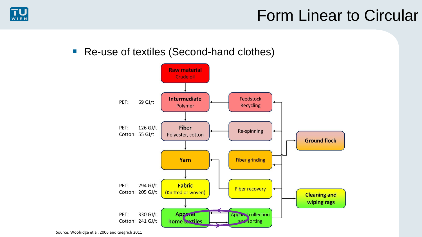

#### ■ Re-use of textiles (Second-hand clothes)

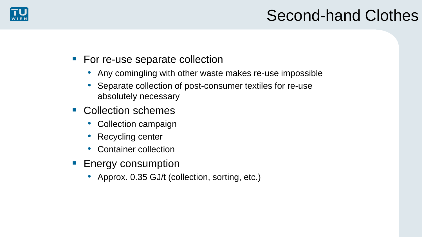

## Second-hand Clothes

- For re-use separate collection
	- Any comingling with other waste makes re-use impossible
	- Separate collection of post-consumer textiles for re-use absolutely necessary
- Collection schemes
	- Collection campaign
	- Recycling center
	- Container collection
- Energy consumption
	- Approx. 0.35 GJ/t (collection, sorting, etc.)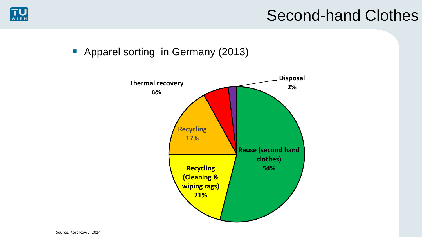

### Second-hand Clothes

■ Apparel sorting in Germany (2013)

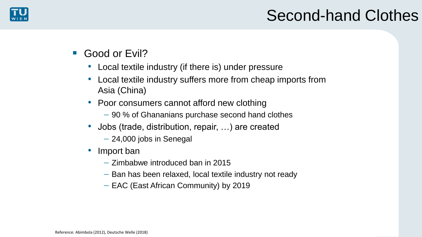

- Good or Evil?
	- Local textile industry (if there is) under pressure
	- Local textile industry suffers more from cheap imports from Asia (China)
	- Poor consumers cannot afford new clothing
		- − 90 % of Ghananians purchase second hand clothes
	- Jobs (trade, distribution, repair, …) are created
		- − 24,000 jobs in Senegal
	- Import ban
		- − Zimbabwe introduced ban in 2015
		- − Ban has been relaxed, local textile industry not ready
		- − EAC (East African Community) by 2019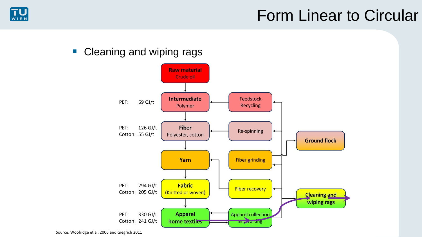

#### ■ Cleaning and wiping rags

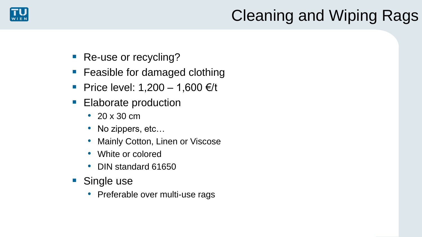

## Cleaning and Wiping Rags

- Re-use or recycling?
- Feasible for damaged clothing
- Price level:  $1,200 1,600 \in \mathcal{H}$
- **Elaborate production** 
	- 20 x 30 cm
	- No zippers, etc...
	- Mainly Cotton, Linen or Viscose
	- White or colored
	- DIN standard 61650
- Single use
	- Preferable over multi-use rags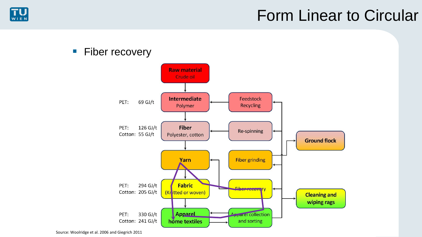

#### **E** Fiber recovery

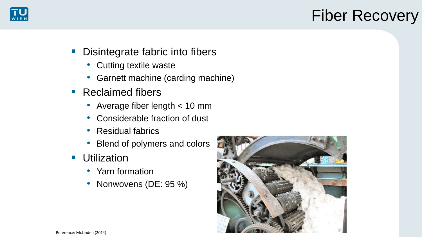

## Fiber Recovery

- Disintegrate fabric into fibers
	- Cutting textile waste
	- Garnett machine (carding machine)
- Reclaimed fibers
	- Average fiber length < 10 mm
	- Considerable fraction of dust
	- Residual fabrics
	- Blend of polymers and colors
- Utilization
	- Yarn formation
	- Nonwovens (DE: 95 %)

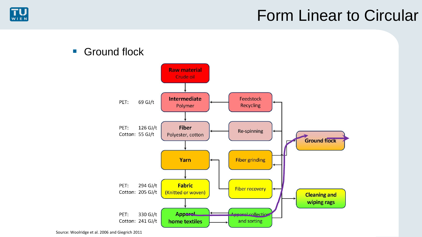

#### ■ Ground flock

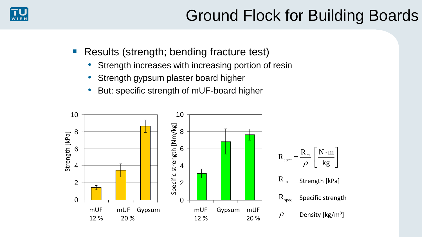

  $\mathbf{r}$  and  $\mathbf{r}$  are the set of  $\mathbf{r}$ 

 $\mathcal{L} = \mathcal{L} \mathcal{L}$ 

- Results (strength; bending fracture test)
	- Strength increases with increasing portion of resin
	- Strength gypsum plaster board higher
	- But: specific strength of mUF-board higher

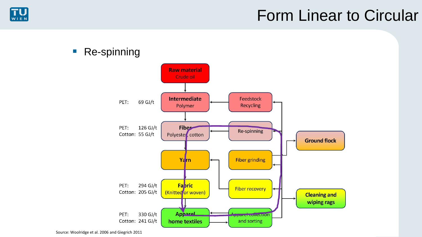

#### ■ Re-spinning

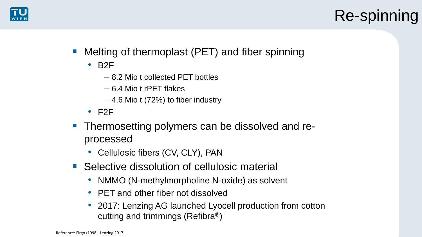

# Re-spinning

- Melting of thermoplast (PET) and fiber spinning
	- B2F
		- − 8.2 Mio t collected PET bottles
		- − 6.4 Mio t rPET flakes
		- − 4.6 Mio t (72%) to fiber industry
	- $\cdot$  F2F
- Thermosetting polymers can be dissolved and reprocessed
	- Cellulosic fibers (CV, CLY), PAN
- Selective dissolution of cellulosic material
	- NMMO (N-methylmorpholine N-oxide) as solvent
	- PET and other fiber not dissolved
	- 2017: Lenzing AG launched Lyocell production from cotton cutting and trimmings (Refibra®)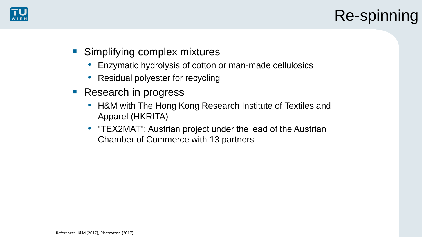

# Re-spinning

- Simplifying complex mixtures
	- Enzymatic hydrolysis of cotton or man-made cellulosics
	- Residual polyester for recycling
- Research in progress
	- H&M with The Hong Kong Research Institute of Textiles and Apparel (HKRITA)
	- "TEX2MAT": Austrian project under the lead of the Austrian Chamber of Commerce with 13 partners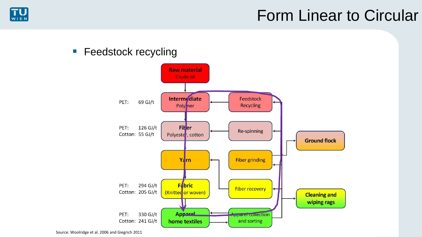

#### **E** Feedstock recycling

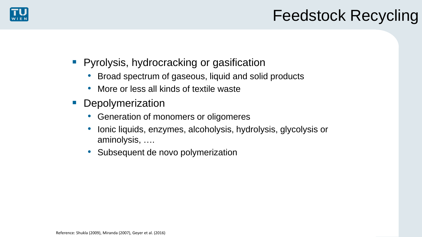

## Feedstock Recycling

- Pyrolysis, hydrocracking or gasification
	- Broad spectrum of gaseous, liquid and solid products
	- More or less all kinds of textile waste
- **Depolymerization** 
	- Generation of monomers or oligomeres
	- Ionic liquids, enzymes, alcoholysis, hydrolysis, glycolysis or aminolysis, ….
	- Subsequent de novo polymerization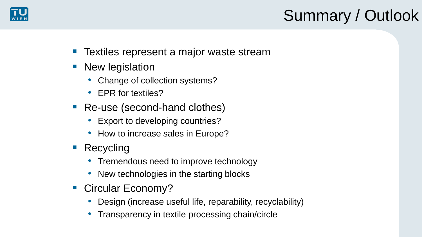

# Summary / Outlook

- Textiles represent a major waste stream
- **New legislation** 
	- Change of collection systems?
	- EPR for textiles?
- Re-use (second-hand clothes)
	- Export to developing countries?
	- How to increase sales in Europe?
- Recycling
	- Tremendous need to improve technology
	- New technologies in the starting blocks
- Circular Economy?
	- Design (increase useful life, reparability, recyclability)
	- Transparency in textile processing chain/circle